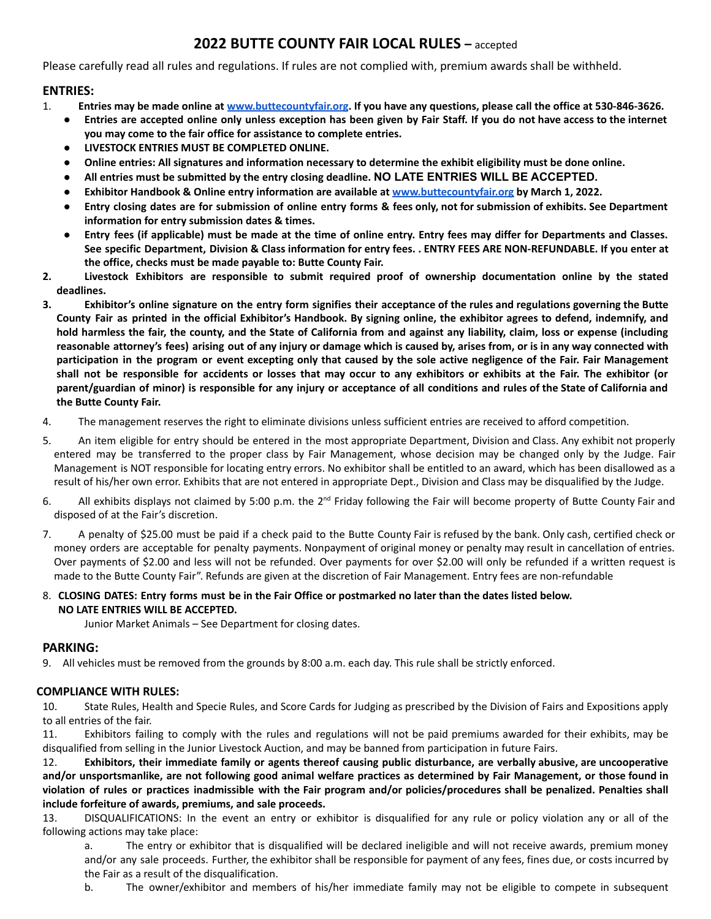# **2022 BUTTE COUNTY FAIR LOCAL RULES –** accepted

Please carefully read all rules and regulations. If rules are not complied with, premium awards shall be withheld.

## **ENTRIES:**

- 1. Entries may be made online at [www.buttecountyfair.org](http://www.buttecountyfair.org). If you have any questions, please call the office at 530-846-3626.
	- Entries are accepted online only unless exception has been given by Fair Staff. If you do not have access to the internet **you may come to the fair office for assistance to complete entries.**
	- **● LIVESTOCK ENTRIES MUST BE COMPLETED ONLINE.**
	- Online entries: All signatures and information necessary to determine the exhibit eligibility must be done online.
	- **● All entries must be submitted by the entry closing deadline. NO LATE ENTRIES WILL BE ACCEPTED.**
	- **● Exhibitor Handbook & Online entry information are available at [www.buttecountyfair.org](http://www.buttecountyfair.org) by March 1, 2022.**
	- Entry closing dates are for submission of online entry forms & fees only, not for submission of exhibits. See Department **information for entry submission dates & times.**
	- Entry fees (if applicable) must be made at the time of online entry. Entry fees may differ for Departments and Classes. See specific Department, Division & Class information for entry fees. . ENTRY FEES ARE NON-REFUNDABLE. If you enter at **the office, checks must be made payable to: Butte County Fair.**
- **2. Livestock Exhibitors are responsible to submit required proof of ownership documentation online by the stated deadlines.**
- 3. Exhibitor's online signature on the entry form signifies their acceptance of the rules and regulations governing the Butte County Fair as printed in the official Exhibitor's Handbook. By signing online, the exhibitor agrees to defend, indemnify, and hold harmless the fair, the county, and the State of California from and against any liability, claim, loss or expense (including reasonable attorney's fees) arising out of any injury or damage which is caused by, arises from, or is in any way connected with participation in the program or event excepting only that caused by the sole active negligence of the Fair. Fair Management shall not be responsible for accidents or losses that may occur to any exhibitors or exhibits at the Fair. The exhibitor (or parent/guardian of minor) is responsible for any injury or acceptance of all conditions and rules of the State of California and **the Butte County Fair.**
- 4. The management reserves the right to eliminate divisions unless sufficient entries are received to afford competition.
- 5. An item eligible for entry should be entered in the most appropriate Department, Division and Class. Any exhibit not properly entered may be transferred to the proper class by Fair Management, whose decision may be changed only by the Judge. Fair Management is NOT responsible for locating entry errors. No exhibitor shall be entitled to an award, which has been disallowed as a result of his/her own error. Exhibits that are not entered in appropriate Dept., Division and Class may be disqualified by the Judge.
- 6. All exhibits displays not claimed by 5:00 p.m. the 2<sup>nd</sup> Friday following the Fair will become property of Butte County Fair and disposed of at the Fair's discretion.
- 7. A penalty of \$25.00 must be paid if a check paid to the Butte County Fair is refused by the bank. Only cash, certified check or money orders are acceptable for penalty payments. Nonpayment of original money or penalty may result in cancellation of entries. Over payments of \$2.00 and less will not be refunded. Over payments for over \$2.00 will only be refunded if a written request is made to the Butte County Fair". Refunds are given at the discretion of Fair Management. Entry fees are non-refundable
- 8. CLOSING DATES: Entry forms must be in the Fair Office or postmarked no later than the dates listed below. **NO LATE ENTRIES WILL BE ACCEPTED.**

Junior Market Animals – See Department for closing dates.

## **PARKING:**

9. All vehicles must be removed from the grounds by 8:00 a.m. each day. This rule shall be strictly enforced.

## **COMPLIANCE WITH RULES:**

10. State Rules, Health and Specie Rules, and Score Cards for Judging as prescribed by the Division of Fairs and Expositions apply to all entries of the fair.

11. Exhibitors failing to comply with the rules and regulations will not be paid premiums awarded for their exhibits, may be disqualified from selling in the Junior Livestock Auction, and may be banned from participation in future Fairs.

12. Exhibitors, their immediate family or agents thereof causing public disturbance, are verbally abusive, are uncooperative and/or unsportsmanlike, are not following good animal welfare practices as determined by Fair Management, or those found in violation of rules or practices inadmissible with the Fair program and/or policies/procedures shall be penalized. Penalties shall **include forfeiture of awards, premiums, and sale proceeds.**

13. DISQUALIFICATIONS: In the event an entry or exhibitor is disqualified for any rule or policy violation any or all of the following actions may take place:

a. The entry or exhibitor that is disqualified will be declared ineligible and will not receive awards, premium money and/or any sale proceeds. Further, the exhibitor shall be responsible for payment of any fees, fines due, or costs incurred by the Fair as a result of the disqualification.

b. The owner/exhibitor and members of his/her immediate family may not be eligible to compete in subsequent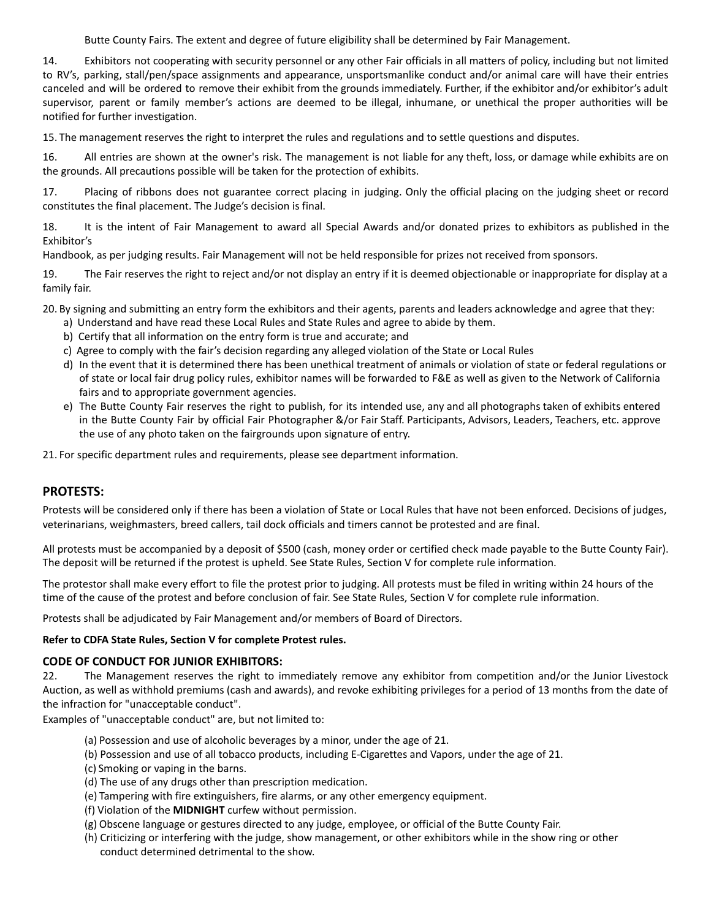Butte County Fairs. The extent and degree of future eligibility shall be determined by Fair Management.

14. Exhibitors not cooperating with security personnel or any other Fair officials in all matters of policy, including but not limited to RV's, parking, stall/pen/space assignments and appearance, unsportsmanlike conduct and/or animal care will have their entries canceled and will be ordered to remove their exhibit from the grounds immediately. Further, if the exhibitor and/or exhibitor's adult supervisor, parent or family member's actions are deemed to be illegal, inhumane, or unethical the proper authorities will be notified for further investigation.

15. The management reserves the right to interpret the rules and regulations and to settle questions and disputes.

16. All entries are shown at the owner's risk. The management is not liable for any theft, loss, or damage while exhibits are on the grounds. All precautions possible will be taken for the protection of exhibits.

17. Placing of ribbons does not guarantee correct placing in judging. Only the official placing on the judging sheet or record constitutes the final placement. The Judge's decision is final.

18. It is the intent of Fair Management to award all Special Awards and/or donated prizes to exhibitors as published in the Exhibitor's

Handbook, as per judging results. Fair Management will not be held responsible for prizes not received from sponsors.

19. The Fair reserves the right to reject and/or not display an entry if it is deemed objectionable or inappropriate for display at a family fair.

20. By signing and submitting an entry form the exhibitors and their agents, parents and leaders acknowledge and agree that they:

- a) Understand and have read these Local Rules and State Rules and agree to abide by them.
- b) Certify that all information on the entry form is true and accurate; and
- c) Agree to comply with the fair's decision regarding any alleged violation of the State or Local Rules
- d) In the event that it is determined there has been unethical treatment of animals or violation of state or federal regulations or of state or local fair drug policy rules, exhibitor names will be forwarded to F&E as well as given to the Network of California fairs and to appropriate government agencies.
- e) The Butte County Fair reserves the right to publish, for its intended use, any and all photographs taken of exhibits entered in the Butte County Fair by official Fair Photographer &/or Fair Staff. Participants, Advisors, Leaders, Teachers, etc. approve the use of any photo taken on the fairgrounds upon signature of entry.

21. For specific department rules and requirements, please see department information.

## **PROTESTS:**

Protests will be considered only if there has been a violation of State or Local Rules that have not been enforced. Decisions of judges, veterinarians, weighmasters, breed callers, tail dock officials and timers cannot be protested and are final.

All protests must be accompanied by a deposit of \$500 (cash, money order or certified check made payable to the Butte County Fair). The deposit will be returned if the protest is upheld. See State Rules, Section V for complete rule information.

The protestor shall make every effort to file the protest prior to judging. All protests must be filed in writing within 24 hours of the time of the cause of the protest and before conclusion of fair. See State Rules, Section V for complete rule information.

Protests shall be adjudicated by Fair Management and/or members of Board of Directors.

#### **Refer to CDFA State Rules, Section V for complete Protest rules.**

#### **CODE OF CONDUCT FOR JUNIOR EXHIBITORS:**

22. The Management reserves the right to immediately remove any exhibitor from competition and/or the Junior Livestock Auction, as well as withhold premiums (cash and awards), and revoke exhibiting privileges for a period of 13 months from the date of the infraction for "unacceptable conduct".

Examples of "unacceptable conduct" are, but not limited to:

- (a) Possession and use of alcoholic beverages by a minor, under the age of 21.
- (b) Possession and use of all tobacco products, including E-Cigarettes and Vapors, under the age of 21.
- (c) Smoking or vaping in the barns.
- (d) The use of any drugs other than prescription medication.
- (e) Tampering with fire extinguishers, fire alarms, or any other emergency equipment.
- (f) Violation of the **MIDNIGHT** curfew without permission.
- (g) Obscene language or gestures directed to any judge, employee, or official of the Butte County Fair.
- (h) Criticizing or interfering with the judge, show management, or other exhibitors while in the show ring or other conduct determined detrimental to the show.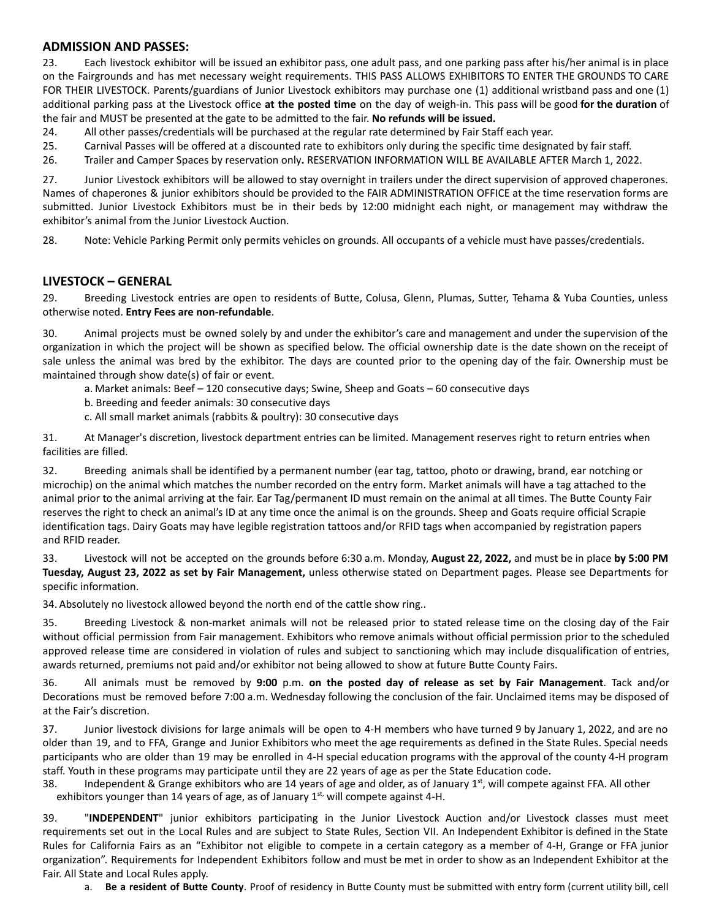### **ADMISSION AND PASSES:**

23. Each livestock exhibitor will be issued an exhibitor pass, one adult pass, and one parking pass after his/her animal is in place on the Fairgrounds and has met necessary weight requirements. THIS PASS ALLOWS EXHIBITORS TO ENTER THE GROUNDS TO CARE FOR THEIR LIVESTOCK. Parents/guardians of Junior Livestock exhibitors may purchase one (1) additional wristband pass and one (1) additional parking pass at the Livestock office **at the posted time** on the day of weigh-in. This pass will be good **for the duration** of the fair and MUST be presented at the gate to be admitted to the fair. **No refunds will be issued.**

24. All other passes/credentials will be purchased at the regular rate determined by Fair Staff each year.

25. Carnival Passes will be offered at a discounted rate to exhibitors only during the specific time designated by fair staff.

26. Trailer and Camper Spaces by reservation only**.** RESERVATION INFORMATION WILL BE AVAILABLE AFTER March 1, 2022.

27. Junior Livestock exhibitors will be allowed to stay overnight in trailers under the direct supervision of approved chaperones. Names of chaperones & junior exhibitors should be provided to the FAIR ADMINISTRATION OFFICE at the time reservation forms are submitted. Junior Livestock Exhibitors must be in their beds by 12:00 midnight each night, or management may withdraw the exhibitor's animal from the Junior Livestock Auction.

28. Note: Vehicle Parking Permit only permits vehicles on grounds. All occupants of a vehicle must have passes/credentials.

### **LIVESTOCK – GENERAL**

29. Breeding Livestock entries are open to residents of Butte, Colusa, Glenn, Plumas, Sutter, Tehama & Yuba Counties, unless otherwise noted. **Entry Fees are non-refundable**.

30. Animal projects must be owned solely by and under the exhibitor's care and management and under the supervision of the organization in which the project will be shown as specified below. The official ownership date is the date shown on the receipt of sale unless the animal was bred by the exhibitor. The days are counted prior to the opening day of the fair. Ownership must be maintained through show date(s) of fair or event.

a. Market animals: Beef – 120 consecutive days; Swine, Sheep and Goats – 60 consecutive days

- b. Breeding and feeder animals: 30 consecutive days
- c. All small market animals (rabbits & poultry): 30 consecutive days

31. At Manager's discretion, livestock department entries can be limited. Management reserves right to return entries when facilities are filled.

32. Breeding animals shall be identified by a permanent number (ear tag, tattoo, photo or drawing, brand, ear notching or microchip) on the animal which matches the number recorded on the entry form. Market animals will have a tag attached to the animal prior to the animal arriving at the fair. Ear Tag/permanent ID must remain on the animal at all times. The Butte County Fair reserves the right to check an animal's ID at any time once the animal is on the grounds. Sheep and Goats require official Scrapie identification tags. Dairy Goats may have legible registration tattoos and/or RFID tags when accompanied by registration papers and RFID reader.

33. Livestock will not be accepted on the grounds before 6:30 a.m. Monday, **August 22, 2022,** and must be in place **by 5:00 PM Tuesday, August 23, 2022 as set by Fair Management,** unless otherwise stated on Department pages. Please see Departments for specific information.

34. Absolutely no livestock allowed beyond the north end of the cattle show ring..

35. Breeding Livestock & non-market animals will not be released prior to stated release time on the closing day of the Fair without official permission from Fair management. Exhibitors who remove animals without official permission prior to the scheduled approved release time are considered in violation of rules and subject to sanctioning which may include disqualification of entries, awards returned, premiums not paid and/or exhibitor not being allowed to show at future Butte County Fairs.

36. All animals must be removed by **9:00** p.m. **on the posted day of release as set by Fair Management**. Tack and/or Decorations must be removed before 7:00 a.m. Wednesday following the conclusion of the fair. Unclaimed items may be disposed of at the Fair's discretion.

37. Junior livestock divisions for large animals will be open to 4-H members who have turned 9 by January 1, 2022, and are no older than 19, and to FFA, Grange and Junior Exhibitors who meet the age requirements as defined in the State Rules. Special needs participants who are older than 19 may be enrolled in 4-H special education programs with the approval of the county 4-H program staff. Youth in these programs may participate until they are 22 years of age as per the State Education code.

38. Independent & Grange exhibitors who are 14 years of age and older, as of January 1<sup>st</sup>, will compete against FFA. All other exhibitors younger than 14 years of age, as of January 1<sup>st,</sup> will compete against 4-H.

39. "**INDEPENDENT**" junior exhibitors participating in the Junior Livestock Auction and/or Livestock classes must meet requirements set out in the Local Rules and are subject to State Rules, Section VII. An Independent Exhibitor is defined in the State Rules for California Fairs as an "Exhibitor not eligible to compete in a certain category as a member of 4-H, Grange or FFA junior organization". Requirements for Independent Exhibitors follow and must be met in order to show as an Independent Exhibitor at the Fair. All State and Local Rules apply.

a. **Be a resident of Butte County**. Proof of residency in Butte County must be submitted with entry form (current utility bill, cell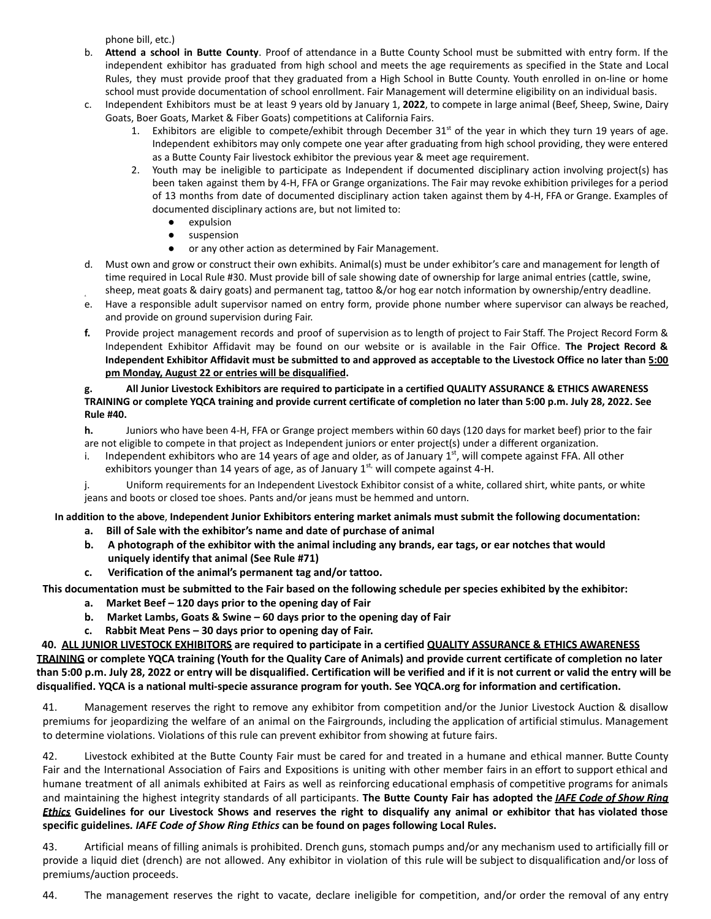phone bill, etc.)

- b. **Attend a school in Butte County**. Proof of attendance in a Butte County School must be submitted with entry form. If the independent exhibitor has graduated from high school and meets the age requirements as specified in the State and Local Rules, they must provide proof that they graduated from a High School in Butte County. Youth enrolled in on-line or home school must provide documentation of school enrollment. Fair Management will determine eligibility on an individual basis.
- c. Independent Exhibitors must be at least 9 years old by January 1, **2022**, to compete in large animal (Beef, Sheep, Swine, Dairy Goats, Boer Goats, Market & Fiber Goats) competitions at California Fairs.
	- 1. Exhibitors are eligible to compete/exhibit through December  $31<sup>st</sup>$  of the year in which they turn 19 years of age. Independent exhibitors may only compete one year after graduating from high school providing, they were entered as a Butte County Fair livestock exhibitor the previous year & meet age requirement.
	- 2. Youth may be ineligible to participate as Independent if documented disciplinary action involving project(s) has been taken against them by 4-H, FFA or Grange organizations. The Fair may revoke exhibition privileges for a period of 13 months from date of documented disciplinary action taken against them by 4-H, FFA or Grange. Examples of documented disciplinary actions are, but not limited to:
		- expulsion
		- suspension
		- or any other action as determined by Fair Management.
- d. Must own and grow or construct their own exhibits. Animal(s) must be under exhibitor's care and management for length of time required in Local Rule #30. Must provide bill of sale showing date of ownership for large animal entries (cattle, swine, sheep, meat goats & dairy goats) and permanent tag, tattoo &/or hog ear notch information by ownership/entry deadline.
- d. e. Have a responsible adult supervisor named on entry form, provide phone number where supervisor can always be reached, and provide on ground supervision during Fair.
- **f.** Provide project management records and proof of supervision as to length of project to Fair Staff. The Project Record Form & Independent Exhibitor Affidavit may be found on our website or is available in the Fair Office. **The Project Record &** Independent Exhibitor Affidavit must be submitted to and approved as acceptable to the Livestock Office no later than 5:00 **pm Monday, August 22 or entries will be disqualified.**

#### All Junior Livestock Exhibitors are required to participate in a certified QUALITY ASSURANCE & ETHICS AWARENESS TRAINING or complete YQCA training and provide current certificate of completion no later than 5:00 p.m. July 28, 2022. See **Rule #40.**

**h.** Juniors who have been 4-H, FFA or Grange project members within 60 days (120 days for market beef) prior to the fair are not eligible to compete in that project as Independent juniors or enter project(s) under a different organization.

i. Independent exhibitors who are 14 years of age and older, as of January  $1<sup>st</sup>$ , will compete against FFA. All other exhibitors younger than 14 years of age, as of January 1<sup>st,</sup> will compete against 4-H.

j. Uniform requirements for an Independent Livestock Exhibitor consist of a white, collared shirt, white pants, or white jeans and boots or closed toe shoes. Pants and/or jeans must be hemmed and untorn.

In addition to the above, Independent Junior Exhibitors entering market animals must submit the following documentation: **a. Bill of Sale with the exhibitor's name and date of purchase of animal**

- b. A photograph of the exhibitor with the animal including any brands, ear tags, or ear notches that would **uniquely identify that animal (See Rule #71)**
- **c. Verification of the animal's permanent tag and/or tattoo.**

This documentation must be submitted to the Fair based on the following schedule per species exhibited by the exhibitor:

- **a. Market Beef – 120 days prior to the opening day of Fair**
- **b. Market Lambs, Goats & Swine – 60 days prior to the opening day of Fair**
- **c. Rabbit Meat Pens – 30 days prior to opening day of Fair.**

40. ALL JUNIOR LIVESTOCK EXHIBITORS are required to participate in a certified QUALITY ASSURANCE & ETHICS AWARENESS TRAINING or complete YQCA training (Youth for the Quality Care of Animals) and provide current certificate of completion no later than 5:00 p.m. July 28, 2022 or entry will be disqualified. Certification will be verified and if it is not current or valid the entry will be disqualified. YQCA is a national multi-specie assurance program for youth. See YQCA.org for information and certification.

41. Management reserves the right to remove any exhibitor from competition and/or the Junior Livestock Auction & disallow premiums for jeopardizing the welfare of an animal on the Fairgrounds, including the application of artificial stimulus. Management to determine violations. Violations of this rule can prevent exhibitor from showing at future fairs.

42. Livestock exhibited at the Butte County Fair must be cared for and treated in a humane and ethical manner. Butte County Fair and the International Association of Fairs and Expositions is uniting with other member fairs in an effort to support ethical and humane treatment of all animals exhibited at Fairs as well as reinforcing educational emphasis of competitive programs for animals and maintaining the highest integrity standards of all participants. **The Butte County Fair has adopted the** *IAFE Code of Show Ring* Ethics Guidelines for our Livestock Shows and reserves the right to disqualify any animal or exhibitor that has violated those **specific guidelines***. IAFE Code of Show Ring Ethics* **can be found on pages following Local Rules.**

43. Artificial means of filling animals is prohibited. Drench guns, stomach pumps and/or any mechanism used to artificially fill or provide a liquid diet (drench) are not allowed. Any exhibitor in violation of this rule will be subject to disqualification and/or loss of premiums/auction proceeds.

44. The management reserves the right to vacate, declare ineligible for competition, and/or order the removal of any entry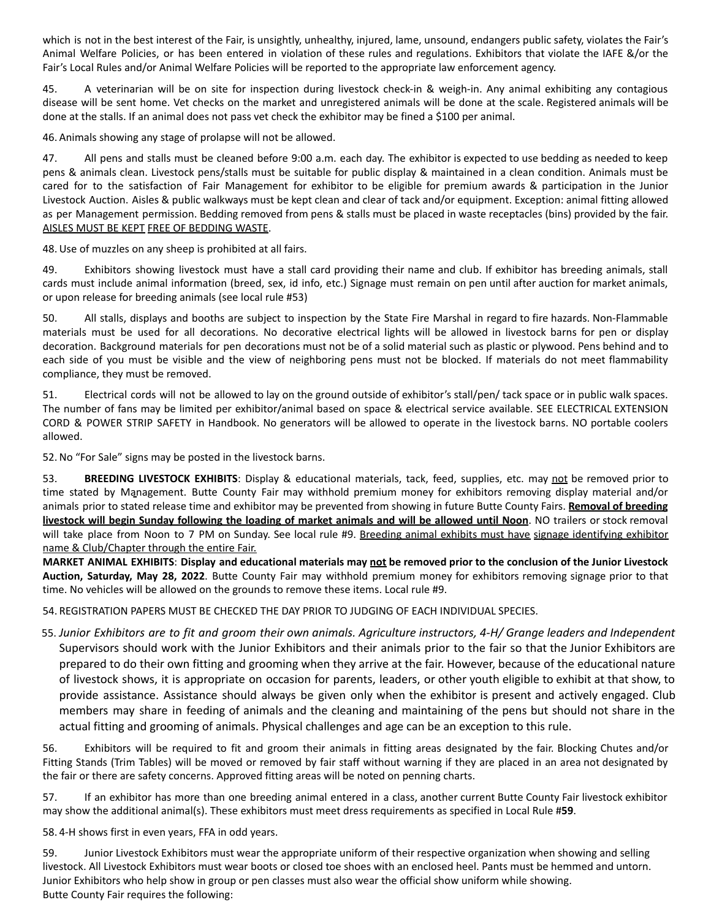which is not in the best interest of the Fair, is unsightly, unhealthy, injured, lame, unsound, endangers public safety, violates the Fair's Animal Welfare Policies, or has been entered in violation of these rules and regulations. Exhibitors that violate the IAFE &/or the Fair's Local Rules and/or Animal Welfare Policies will be reported to the appropriate law enforcement agency.

45. A veterinarian will be on site for inspection during livestock check-in & weigh-in. Any animal exhibiting any contagious disease will be sent home. Vet checks on the market and unregistered animals will be done at the scale. Registered animals will be done at the stalls. If an animal does not pass vet check the exhibitor may be fined a \$100 per animal.

46. Animals showing any stage of prolapse will not be allowed.

47. All pens and stalls must be cleaned before 9:00 a.m. each day. The exhibitor is expected to use bedding as needed to keep pens & animals clean. Livestock pens/stalls must be suitable for public display & maintained in a clean condition. Animals must be cared for to the satisfaction of Fair Management for exhibitor to be eligible for premium awards & participation in the Junior Livestock Auction. Aisles & public walkways must be kept clean and clear of tack and/or equipment. Exception: animal fitting allowed as per Management permission. Bedding removed from pens & stalls must be placed in waste receptacles (bins) provided by the fair. AISLES MUST BE KEPT FREE OF BEDDING WASTE.

48.Use of muzzles on any sheep is prohibited at all fairs.

49. Exhibitors showing livestock must have a stall card providing their name and club. If exhibitor has breeding animals, stall cards must include animal information (breed, sex, id info, etc.) Signage must remain on pen until after auction for market animals, or upon release for breeding animals (see local rule #53)

50. All stalls, displays and booths are subject to inspection by the State Fire Marshal in regard to fire hazards. Non-Flammable materials must be used for all decorations. No decorative electrical lights will be allowed in livestock barns for pen or display decoration. Background materials for pen decorations must not be of a solid material such as plastic or plywood. Pens behind and to each side of you must be visible and the view of neighboring pens must not be blocked. If materials do not meet flammability compliance, they must be removed.

51. Electrical cords will not be allowed to lay on the ground outside of exhibitor's stall/pen/ tack space or in public walk spaces. The number of fans may be limited per exhibitor/animal based on space & electrical service available. SEE ELECTRICAL EXTENSION CORD & POWER STRIP SAFETY in Handbook. No generators will be allowed to operate in the livestock barns. NO portable coolers allowed.

52.No "For Sale" signs may be posted in the livestock barns.

53. **BREEDING LIVESTOCK EXHIBITS**: Display & educational materials, tack, feed, supplies, etc. may not be removed prior to time stated by Management. Butte County Fair may withhold premium money for exhibitors removing display material and/or animals prior to stated release time and exhibitor may be prevented from showing in future Butte County Fairs. **Removal of breeding** livestock will begin Sunday following the loading of market animals and will be allowed until Noon. NO trailers or stock removal will take place from Noon to 7 PM on Sunday. See local rule #9. Breeding animal exhibits must have signage identifying exhibitor name & Club/Chapter through the entire Fair.

MARKET ANIMAL EXHIBITS: Display and educational materials may not be removed prior to the conclusion of the Junior Livestock **Auction, Saturday, May 28, 2022**. Butte County Fair may withhold premium money for exhibitors removing signage prior to that time. No vehicles will be allowed on the grounds to remove these items. Local rule #9.

54. REGISTRATION PAPERS MUST BE CHECKED THE DAY PRIOR TO JUDGING OF EACH INDIVIDUAL SPECIES.

55. Junior Exhibitors are to fit and groom their own animals. Agriculture instructors, 4-H/ Grange leaders and Independent Supervisors should work with the Junior Exhibitors and their animals prior to the fair so that the Junior Exhibitors are prepared to do their own fitting and grooming when they arrive at the fair. However, because of the educational nature of livestock shows, it is appropriate on occasion for parents, leaders, or other youth eligible to exhibit at that show, to provide assistance. Assistance should always be given only when the exhibitor is present and actively engaged. Club members may share in feeding of animals and the cleaning and maintaining of the pens but should not share in the actual fitting and grooming of animals. Physical challenges and age can be an exception to this rule.

56. Exhibitors will be required to fit and groom their animals in fitting areas designated by the fair. Blocking Chutes and/or Fitting Stands (Trim Tables) will be moved or removed by fair staff without warning if they are placed in an area not designated by the fair or there are safety concerns. Approved fitting areas will be noted on penning charts.

57. If an exhibitor has more than one breeding animal entered in a class, another current Butte County Fair livestock exhibitor may show the additional animal(s). These exhibitors must meet dress requirements as specified in Local Rule #**59**.

58. 4-H shows first in even years, FFA in odd years.

59. Junior Livestock Exhibitors must wear the appropriate uniform of their respective organization when showing and selling livestock. All Livestock Exhibitors must wear boots or closed toe shoes with an enclosed heel. Pants must be hemmed and untorn. Junior Exhibitors who help show in group or pen classes must also wear the official show uniform while showing. Butte County Fair requires the following: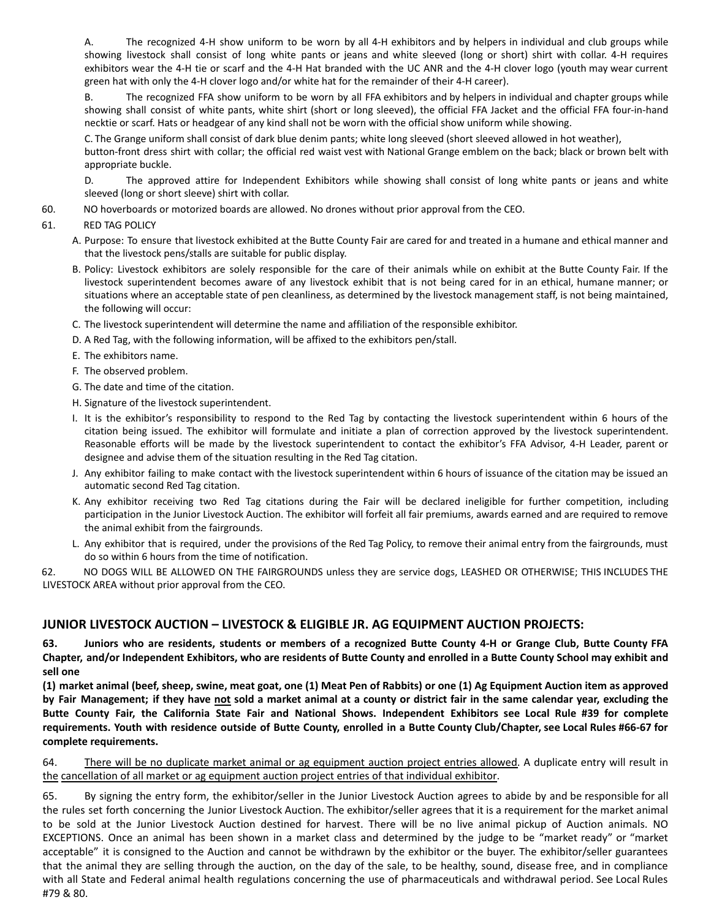A. The recognized 4-H show uniform to be worn by all 4-H exhibitors and by helpers in individual and club groups while showing livestock shall consist of long white pants or jeans and white sleeved (long or short) shirt with collar. 4-H requires exhibitors wear the 4-H tie or scarf and the 4-H Hat branded with the UC ANR and the 4-H clover logo (youth may wear current green hat with only the 4-H clover logo and/or white hat for the remainder of their 4-H career).

B. The recognized FFA show uniform to be worn by all FFA exhibitors and by helpers in individual and chapter groups while showing shall consist of white pants, white shirt (short or long sleeved), the official FFA Jacket and the official FFA four-in-hand necktie or scarf. Hats or headgear of any kind shall not be worn with the official show uniform while showing.

C. The Grange uniform shall consist of dark blue denim pants; white long sleeved (short sleeved allowed in hot weather), button-front dress shirt with collar; the official red waist vest with National Grange emblem on the back; black or brown belt with appropriate buckle.

D. The approved attire for Independent Exhibitors while showing shall consist of long white pants or jeans and white sleeved (long or short sleeve) shirt with collar.

60. NO hoverboards or motorized boards are allowed. No drones without prior approval from the CEO.

#### 61. RED TAG POLICY

- A. Purpose: To ensure that livestock exhibited at the Butte County Fair are cared for and treated in a humane and ethical manner and that the livestock pens/stalls are suitable for public display.
- B. Policy: Livestock exhibitors are solely responsible for the care of their animals while on exhibit at the Butte County Fair. If the livestock superintendent becomes aware of any livestock exhibit that is not being cared for in an ethical, humane manner; or situations where an acceptable state of pen cleanliness, as determined by the livestock management staff, is not being maintained, the following will occur:
- C. The livestock superintendent will determine the name and affiliation of the responsible exhibitor.
- D. A Red Tag, with the following information, will be affixed to the exhibitors pen/stall.
- E. The exhibitors name.
- F. The observed problem.
- G. The date and time of the citation.
- H. Signature of the livestock superintendent.
- I. It is the exhibitor's responsibility to respond to the Red Tag by contacting the livestock superintendent within 6 hours of the citation being issued. The exhibitor will formulate and initiate a plan of correction approved by the livestock superintendent. Reasonable efforts will be made by the livestock superintendent to contact the exhibitor's FFA Advisor, 4-H Leader, parent or designee and advise them of the situation resulting in the Red Tag citation.
- J. Any exhibitor failing to make contact with the livestock superintendent within 6 hours of issuance of the citation may be issued an automatic second Red Tag citation.
- K. Any exhibitor receiving two Red Tag citations during the Fair will be declared ineligible for further competition, including participation in the Junior Livestock Auction. The exhibitor will forfeit all fair premiums, awards earned and are required to remove the animal exhibit from the fairgrounds.
- L. Any exhibitor that is required, under the provisions of the Red Tag Policy, to remove their animal entry from the fairgrounds, must do so within 6 hours from the time of notification.

62. NO DOGS WILL BE ALLOWED ON THE FAIRGROUNDS unless they are service dogs, LEASHED OR OTHERWISE; THIS INCLUDES THE LIVESTOCK AREA without prior approval from the CEO.

## **JUNIOR LIVESTOCK AUCTION – LIVESTOCK & ELIGIBLE JR. AG EQUIPMENT AUCTION PROJECTS:**

63. Juniors who are residents, students or members of a recognized Butte County 4-H or Grange Club, Butte County FFA Chapter, and/or Independent Exhibitors, who are residents of Butte County and enrolled in a Butte County School may exhibit and **sell one**

(1) market animal (beef, sheep, swine, meat goat, one (1) Meat Pen of Rabbits) or one (1) Ag Equipment Auction item as approved by Fair Management; if they have not sold a market animal at a county or district fair in the same calendar year, excluding the Butte County Fair, the California State Fair and National Shows. Independent Exhibitors see Local Rule #39 for complete requirements. Youth with residence outside of Butte County, enrolled in a Butte County Club/Chapter, see Local Rules #66-67 for **complete requirements.**

64. There will be no duplicate market animal or ag equipment auction project entries allowed. A duplicate entry will result in the cancellation of all market or ag equipment auction project entries of that individual exhibitor.

65. By signing the entry form, the exhibitor/seller in the Junior Livestock Auction agrees to abide by and be responsible for all the rules set forth concerning the Junior Livestock Auction. The exhibitor/seller agrees that it is a requirement for the market animal to be sold at the Junior Livestock Auction destined for harvest. There will be no live animal pickup of Auction animals. NO EXCEPTIONS. Once an animal has been shown in a market class and determined by the judge to be "market ready" or "market acceptable" it is consigned to the Auction and cannot be withdrawn by the exhibitor or the buyer. The exhibitor/seller guarantees that the animal they are selling through the auction, on the day of the sale, to be healthy, sound, disease free, and in compliance with all State and Federal animal health regulations concerning the use of pharmaceuticals and withdrawal period. See Local Rules #79 & 80.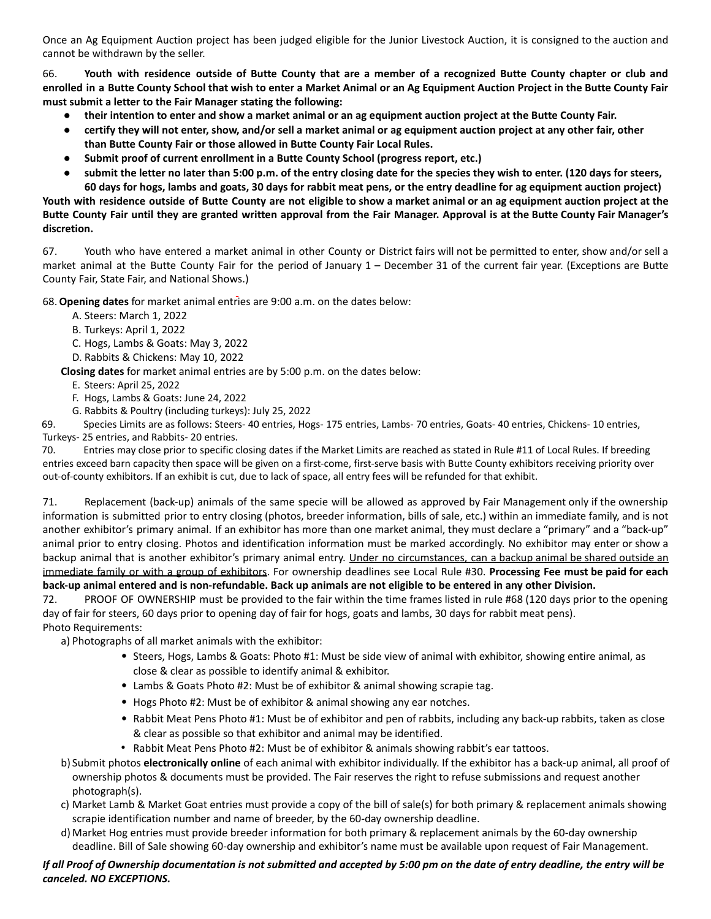Once an Ag Equipment Auction project has been judged eligible for the Junior Livestock Auction, it is consigned to the auction and cannot be withdrawn by the seller.

66. Youth with residence outside of Butte County that are a member of a recognized Butte County chapter or club and enrolled in a Butte County School that wish to enter a Market Animal or an Ag Equipment Auction Project in the Butte County Fair **must submit a letter to the Fair Manager stating the following:**

- their intention to enter and show a market animal or an ag equipment auction project at the Butte County Fair.
- certify they will not enter, show, and/or sell a market animal or ag equipment auction project at any other fair, other **than Butte County Fair or those allowed in Butte County Fair Local Rules.**
- **● Submit proof of current enrollment in a Butte County School (progress report, etc.)**
- submit the letter no later than 5:00 p.m. of the entry closing date for the species they wish to enter. (120 days for steers, 60 days for hogs, lambs and goats, 30 days for rabbit meat pens, or the entry deadline for ag equipment auction project)

Youth with residence outside of Butte County are not eligible to show a market animal or an ag equipment auction project at the Butte County Fair until they are granted written approval from the Fair Manager. Approval is at the Butte County Fair Manager's **discretion.**

67. Youth who have entered a market animal in other County or District fairs will not be permitted to enter, show and/or sell a market animal at the Butte County Fair for the period of January 1 – December 31 of the current fair year. (Exceptions are Butte County Fair, State Fair, and National Shows.)

68.**Opening dates** for market animal entries are 9:00 a.m. on the dates below:

- A. Steers: March 1, 2022
- B. Turkeys: April 1, 2022
- C. Hogs, Lambs & Goats: May 3, 2022
- D. Rabbits & Chickens: May 10, 2022

**Closing dates** for market animal entries are by 5:00 p.m. on the dates below:

- E. Steers: April 25, 2022
- F. Hogs, Lambs & Goats: June 24, 2022
- G. Rabbits & Poultry (including turkeys): July 25, 2022

69. Species Limits are as follows: Steers- 40 entries, Hogs- 175 entries, Lambs- 70 entries, Goats- 40 entries, Chickens- 10 entries, Turkeys- 25 entries, and Rabbits- 20 entries.

70. Entries may close prior to specific closing dates if the Market Limits are reached as stated in Rule #11 of Local Rules. If breeding entries exceed barn capacity then space will be given on a first-come, first-serve basis with Butte County exhibitors receiving priority over out-of-county exhibitors. If an exhibit is cut, due to lack of space, all entry fees will be refunded for that exhibit.

71. Replacement (back-up) animals of the same specie will be allowed as approved by Fair Management only if the ownership information is submitted prior to entry closing (photos, breeder information, bills of sale, etc.) within an immediate family, and is not another exhibitor's primary animal. If an exhibitor has more than one market animal, they must declare a "primary" and a "back-up" animal prior to entry closing. Photos and identification information must be marked accordingly. No exhibitor may enter or show a backup animal that is another exhibitor's primary animal entry. Under no circumstances, can a backup animal be shared outside an immediate family or with a group of exhibitors. For ownership deadlines see Local Rule #30. **Processing Fee must be paid for each** back-up animal entered and is non-refundable. Back up animals are not eligible to be entered in any other Division.

72. PROOF OF OWNERSHIP must be provided to the fair within the time frames listed in rule #68 (120 days prior to the opening day of fair for steers, 60 days prior to opening day of fair for hogs, goats and lambs, 30 days for rabbit meat pens). Photo Requirements:

a) Photographs of all market animals with the exhibitor:

- Steers, Hogs, Lambs & Goats: Photo #1: Must be side view of animal with exhibitor, showing entire animal, as close & clear as possible to identify animal & exhibitor.
- Lambs & Goats Photo #2: Must be of exhibitor & animal showing scrapie tag.
- Hogs Photo #2: Must be of exhibitor & animal showing any ear notches.
- Rabbit Meat Pens Photo #1: Must be of exhibitor and pen of rabbits, including any back-up rabbits, taken as close & clear as possible so that exhibitor and animal may be identified.
- Rabbit Meat Pens Photo #2: Must be of exhibitor & animals showing rabbit's ear tattoos.
- b) Submit photos **electronically online** of each animal with exhibitor individually. If the exhibitor has a back-up animal, all proof of ownership photos & documents must be provided. The Fair reserves the right to refuse submissions and request another photograph(s).
- c) Market Lamb & Market Goat entries must provide a copy of the bill of sale(s) for both primary & replacement animals showing scrapie identification number and name of breeder, by the 60-day ownership deadline.
- d) Market Hog entries must provide breeder information for both primary & replacement animals by the 60-day ownership deadline. Bill of Sale showing 60-day ownership and exhibitor's name must be available upon request of Fair Management.

#### If all Proof of Ownership documentation is not submitted and accepted by 5:00 pm on the date of entry deadline, the entry will be *canceled. NO EXCEPTIONS.*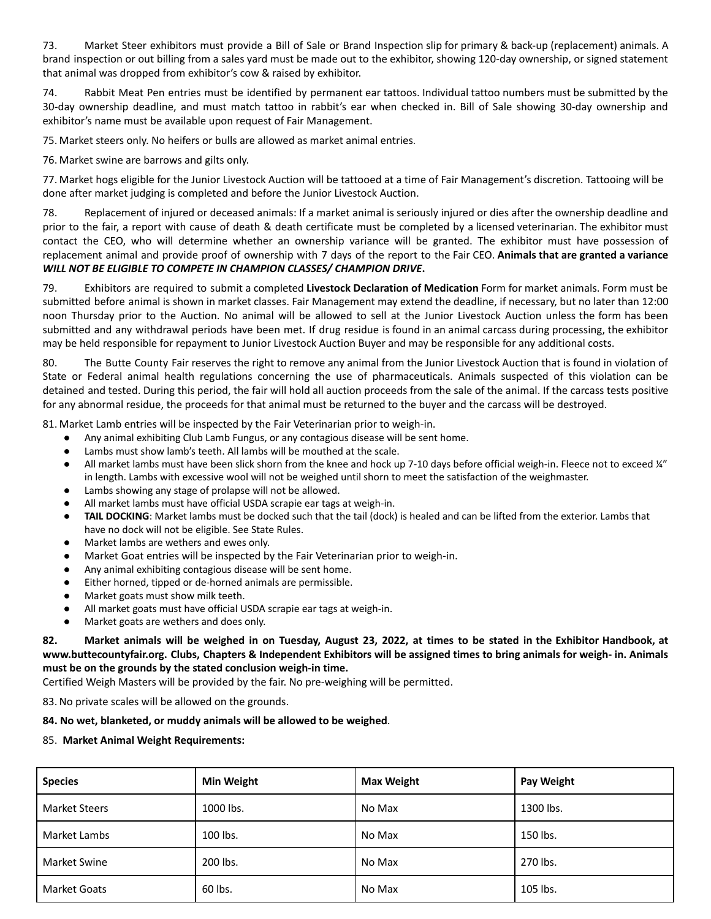73. Market Steer exhibitors must provide a Bill of Sale or Brand Inspection slip for primary & back-up (replacement) animals. A brand inspection or out billing from a sales yard must be made out to the exhibitor, showing 120-day ownership, or signed statement that animal was dropped from exhibitor's cow & raised by exhibitor.

74. Rabbit Meat Pen entries must be identified by permanent ear tattoos. Individual tattoo numbers must be submitted by the 30-day ownership deadline, and must match tattoo in rabbit's ear when checked in. Bill of Sale showing 30-day ownership and exhibitor's name must be available upon request of Fair Management.

75. Market steers only. No heifers or bulls are allowed as market animal entries.

76. Market swine are barrows and gilts only.

77. Market hogs eligible for the Junior Livestock Auction will be tattooed at a time of Fair Management's discretion. Tattooing will be done after market judging is completed and before the Junior Livestock Auction.

78. Replacement of injured or deceased animals: If a market animal is seriously injured or dies after the ownership deadline and prior to the fair, a report with cause of death & death certificate must be completed by a licensed veterinarian. The exhibitor must contact the CEO, who will determine whether an ownership variance will be granted. The exhibitor must have possession of replacement animal and provide proof of ownership with 7 days of the report to the Fair CEO. **Animals that are granted a variance** *WILL NOT BE ELIGIBLE TO COMPETE IN CHAMPION CLASSES/ CHAMPION DRIVE***.**

79. Exhibitors are required to submit a completed **Livestock Declaration of Medication** Form for market animals. Form must be submitted before animal is shown in market classes. Fair Management may extend the deadline, if necessary, but no later than 12:00 noon Thursday prior to the Auction. No animal will be allowed to sell at the Junior Livestock Auction unless the form has been submitted and any withdrawal periods have been met. If drug residue is found in an animal carcass during processing, the exhibitor may be held responsible for repayment to Junior Livestock Auction Buyer and may be responsible for any additional costs.

80. The Butte County Fair reserves the right to remove any animal from the Junior Livestock Auction that is found in violation of State or Federal animal health regulations concerning the use of pharmaceuticals. Animals suspected of this violation can be detained and tested. During this period, the fair will hold all auction proceeds from the sale of the animal. If the carcass tests positive for any abnormal residue, the proceeds for that animal must be returned to the buyer and the carcass will be destroyed.

81. Market Lamb entries will be inspected by the Fair Veterinarian prior to weigh-in.

- Any animal exhibiting Club Lamb Fungus, or any contagious disease will be sent home.
- Lambs must show lamb's teeth. All lambs will be mouthed at the scale.
- All market lambs must have been slick shorn from the knee and hock up 7-10 days before official weigh-in. Fleece not to exceed ¼" in length. Lambs with excessive wool will not be weighed until shorn to meet the satisfaction of the weighmaster.
- Lambs showing any stage of prolapse will not be allowed.
- All market lambs must have official USDA scrapie ear tags at weigh-in.
- **TAIL DOCKING**: Market lambs must be docked such that the tail (dock) is healed and can be lifted from the exterior. Lambs that have no dock will not be eligible. See State Rules.
- Market lambs are wethers and ewes only.
- Market Goat entries will be inspected by the Fair Veterinarian prior to weigh-in.
- Any animal exhibiting contagious disease will be sent home.
- Either horned, tipped or de-horned animals are permissible.
- Market goats must show milk teeth.
- All market goats must have official USDA scrapie ear tags at weigh-in.
- Market goats are wethers and does only.

82. Market animals will be weighed in on Tuesday, August 23, 2022, at times to be stated in the Exhibitor Handbook, at www.buttecountyfair.org. Clubs, Chapters & Independent Exhibitors will be assigned times to bring animals for weigh- in. Animals **must be on the grounds by the stated conclusion weigh-in time.**

Certified Weigh Masters will be provided by the fair. No pre-weighing will be permitted.

83.No private scales will be allowed on the grounds.

#### **84. No wet, blanketed, or muddy animals will be allowed to be weighed**.

#### 85. **Market Animal Weight Requirements:**

| <b>Species</b>       | Min Weight | <b>Max Weight</b> | Pay Weight |
|----------------------|------------|-------------------|------------|
| <b>Market Steers</b> | 1000 lbs.  | No Max            | 1300 lbs.  |
| Market Lambs         | 100 lbs.   | No Max            | 150 lbs.   |
| Market Swine         | 200 lbs.   | No Max            | 270 lbs.   |
| <b>Market Goats</b>  | 60 lbs.    | No Max            | 105 lbs.   |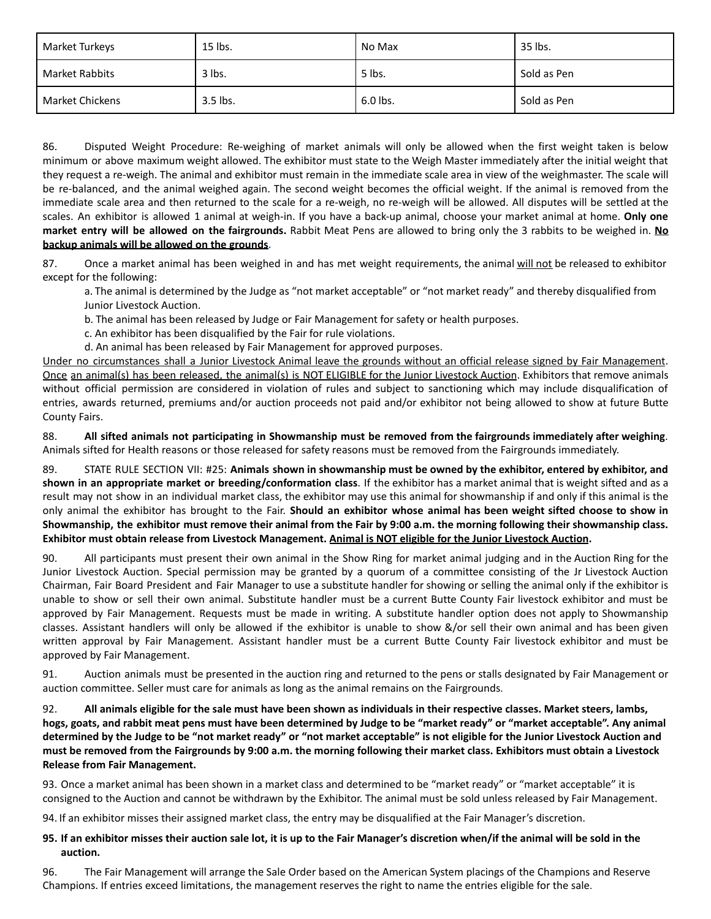| Market Turkeys         | 15 lbs.  | No Max   | 35 lbs.     |
|------------------------|----------|----------|-------------|
| Market Rabbits         | 3 lbs.   | 5 lbs.   | Sold as Pen |
| <b>Market Chickens</b> | 3.5 lbs. | 6.0 lbs. | Sold as Pen |

86. Disputed Weight Procedure: Re-weighing of market animals will only be allowed when the first weight taken is below minimum or above maximum weight allowed. The exhibitor must state to the Weigh Master immediately after the initial weight that they request a re-weigh. The animal and exhibitor must remain in the immediate scale area in view of the weighmaster. The scale will be re-balanced, and the animal weighed again. The second weight becomes the official weight. If the animal is removed from the immediate scale area and then returned to the scale for a re-weigh, no re-weigh will be allowed. All disputes will be settled at the scales. An exhibitor is allowed 1 animal at weigh-in. If you have a back-up animal, choose your market animal at home. **Only one market entry will be allowed on the fairgrounds.** Rabbit Meat Pens are allowed to bring only the 3 rabbits to be weighed in. **No backup animals will be allowed on the grounds.**

87. Once a market animal has been weighed in and has met weight requirements, the animal will not be released to exhibitor except for the following:

a. The animal is determined by the Judge as "not market acceptable" or "not market ready" and thereby disqualified from Junior Livestock Auction.

b. The animal has been released by Judge or Fair Management for safety or health purposes.

c. An exhibitor has been disqualified by the Fair for rule violations.

d. An animal has been released by Fair Management for approved purposes.

Under no circumstances shall a Junior Livestock Animal leave the grounds without an official release signed by Fair Management. Once an animal(s) has been released, the animal(s) is NOT ELIGIBLE for the Junior Livestock Auction. Exhibitors that remove animals without official permission are considered in violation of rules and subject to sanctioning which may include disqualification of entries, awards returned, premiums and/or auction proceeds not paid and/or exhibitor not being allowed to show at future Butte County Fairs.

88. All sifted animals not participating in Showmanship must be removed from the fairgrounds immediately after weighing. Animals sifted for Health reasons or those released for safety reasons must be removed from the Fairgrounds immediately.

89. STATE RULE SECTION VII: #25: **Animals shown in showmanship must be owned by the exhibitor, entered by exhibitor, and shown in an appropriate market or breeding/conformation class**. If the exhibitor has a market animal that is weight sifted and as a result may not show in an individual market class, the exhibitor may use this animal for showmanship if and only if this animal is the only animal the exhibitor has brought to the Fair. **Should an exhibitor whose animal has been weight sifted choose to show in** Showmanship, the exhibitor must remove their animal from the Fair by 9:00 a.m. the morning following their showmanship class. Exhibitor must obtain release from Livestock Management. Animal is NOT eligible for the Junior Livestock Auction.

90. All participants must present their own animal in the Show Ring for market animal judging and in the Auction Ring for the Junior Livestock Auction. Special permission may be granted by a quorum of a committee consisting of the Jr Livestock Auction Chairman, Fair Board President and Fair Manager to use a substitute handler for showing or selling the animal only if the exhibitor is unable to show or sell their own animal. Substitute handler must be a current Butte County Fair livestock exhibitor and must be approved by Fair Management. Requests must be made in writing. A substitute handler option does not apply to Showmanship classes. Assistant handlers will only be allowed if the exhibitor is unable to show &/or sell their own animal and has been given written approval by Fair Management. Assistant handler must be a current Butte County Fair livestock exhibitor and must be approved by Fair Management.

91. Auction animals must be presented in the auction ring and returned to the pens or stalls designated by Fair Management or auction committee. Seller must care for animals as long as the animal remains on the Fairgrounds.

92. All animals eligible for the sale must have been shown as individuals in their respective classes. Market steers, lambs, hogs, goats, and rabbit meat pens must have been determined by Judge to be "market ready" or "market acceptable". Any animal determined by the Judge to be "not market ready" or "not market acceptable" is not eligible for the Junior Livestock Auction and must be removed from the Fairgrounds by 9:00 a.m. the morning following their market class. Exhibitors must obtain a Livestock **Release from Fair Management.**

93. Once a market animal has been shown in a market class and determined to be "market ready" or "market acceptable" it is consigned to the Auction and cannot be withdrawn by the Exhibitor. The animal must be sold unless released by Fair Management.

94. If an exhibitor misses their assigned market class, the entry may be disqualified at the Fair Manager's discretion.

#### 95. If an exhibitor misses their auction sale lot, it is up to the Fair Manager's discretion when/if the animal will be sold in the **auction.**

96. The Fair Management will arrange the Sale Order based on the American System placings of the Champions and Reserve Champions. If entries exceed limitations, the management reserves the right to name the entries eligible for the sale.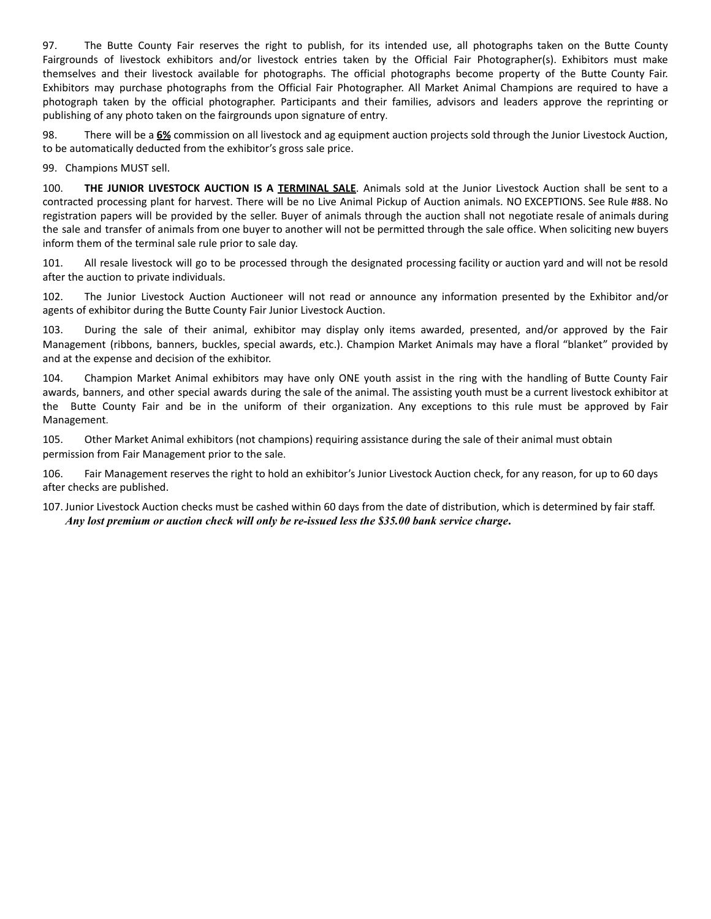97. The Butte County Fair reserves the right to publish, for its intended use, all photographs taken on the Butte County Fairgrounds of livestock exhibitors and/or livestock entries taken by the Official Fair Photographer(s). Exhibitors must make themselves and their livestock available for photographs. The official photographs become property of the Butte County Fair. Exhibitors may purchase photographs from the Official Fair Photographer. All Market Animal Champions are required to have a photograph taken by the official photographer. Participants and their families, advisors and leaders approve the reprinting or publishing of any photo taken on the fairgrounds upon signature of entry.

98. There will be a **6%** commission on all livestock and ag equipment auction projects sold through the Junior Livestock Auction, to be automatically deducted from the exhibitor's gross sale price.

99. Champions MUST sell.

100. **THE JUNIOR LIVESTOCK AUCTION IS A TERMINAL SALE**. Animals sold at the Junior Livestock Auction shall be sent to a contracted processing plant for harvest. There will be no Live Animal Pickup of Auction animals. NO EXCEPTIONS. See Rule #88. No registration papers will be provided by the seller. Buyer of animals through the auction shall not negotiate resale of animals during the sale and transfer of animals from one buyer to another will not be permitted through the sale office. When soliciting new buyers inform them of the terminal sale rule prior to sale day.

101. All resale livestock will go to be processed through the designated processing facility or auction yard and will not be resold after the auction to private individuals.

102. The Junior Livestock Auction Auctioneer will not read or announce any information presented by the Exhibitor and/or agents of exhibitor during the Butte County Fair Junior Livestock Auction.

103. During the sale of their animal, exhibitor may display only items awarded, presented, and/or approved by the Fair Management (ribbons, banners, buckles, special awards, etc.). Champion Market Animals may have a floral "blanket" provided by and at the expense and decision of the exhibitor.

104. Champion Market Animal exhibitors may have only ONE youth assist in the ring with the handling of Butte County Fair awards, banners, and other special awards during the sale of the animal. The assisting youth must be a current livestock exhibitor at the Butte County Fair and be in the uniform of their organization. Any exceptions to this rule must be approved by Fair Management.

105. Other Market Animal exhibitors (not champions) requiring assistance during the sale of their animal must obtain permission from Fair Management prior to the sale.

106. Fair Management reserves the right to hold an exhibitor's Junior Livestock Auction check, for any reason, for up to 60 days after checks are published.

107. Junior Livestock Auction checks must be cashed within 60 days from the date of distribution, which is determined by fair staff. *Any lost premium or auction check will only be re-issued less the \$35.00 bank service charge***.**